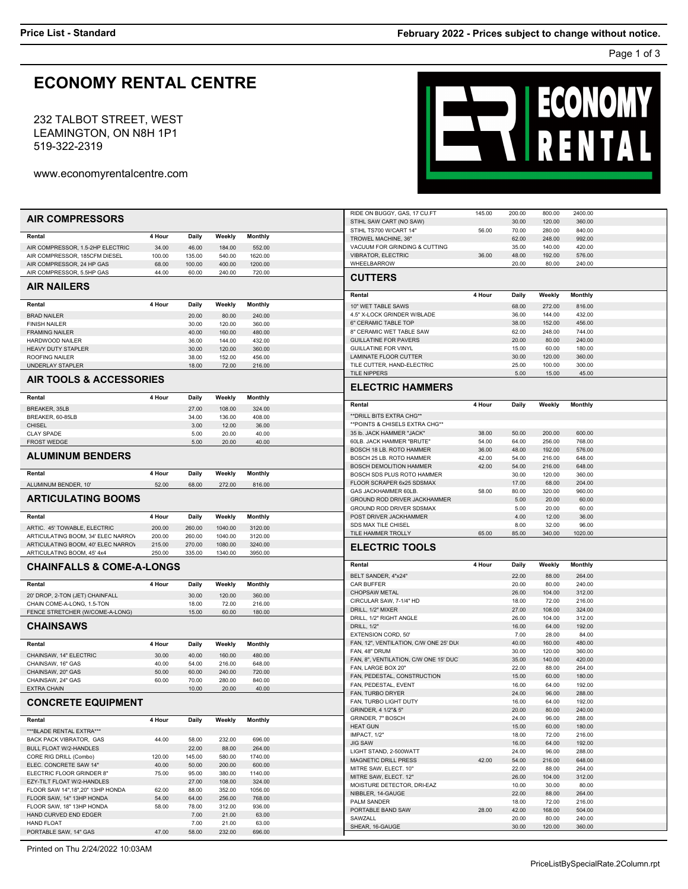## **ECONOMY RENTAL CENTRE**

LEAMINGTON, ON N8H 1P1 519-322-2319 232 TALBOT STREET, WEST ENTAL

www.economyrentalcentre.com

|                                      |        |        |         |                | RIDE ON BUGGY, GAS, 17 CU.FT          | 145.00 | 200.00 | 800.00 | 2400.00        |  |
|--------------------------------------|--------|--------|---------|----------------|---------------------------------------|--------|--------|--------|----------------|--|
| <b>AIR COMPRESSORS</b>               |        |        |         |                | STIHL SAW CART (NO SAW)               |        | 30.00  | 120.00 | 360.00         |  |
|                                      |        |        |         |                | STIHL TS700 W/CART 14"                | 56.00  | 70.00  | 280.00 | 840.00         |  |
| Rental                               | 4 Hour | Daily  | Weekly  | <b>Monthly</b> | TROWEL MACHINE, 36"                   |        | 62.00  | 248.00 | 992.00         |  |
|                                      |        |        |         |                |                                       |        |        |        |                |  |
| AIR COMPRESSOR, 1.5-2HP ELECTRIC     | 34.00  | 46.00  | 184.00  | 552.00         | VACUUM FOR GRINDING & CUTTING         |        | 35.00  | 140.00 | 420.00         |  |
| AIR COMPRESSOR, 185CFM DIESEL        | 100.00 | 135.00 | 540.00  | 1620.00        | <b>VIBRATOR, ELECTRIC</b>             | 36.00  | 48.00  | 192.00 | 576.00         |  |
| AIR COMPRESSOR, 24 HP GAS            | 68.00  | 100.00 | 400.00  | 1200.00        | WHEELBARROW                           |        | 20.00  | 80.00  | 240.00         |  |
| AIR COMPRESSOR, 5.5HP GAS            | 44.00  | 60.00  | 240.00  | 720.00         |                                       |        |        |        |                |  |
|                                      |        |        |         |                | <b>CUTTERS</b>                        |        |        |        |                |  |
| <b>AIR NAILERS</b>                   |        |        |         |                |                                       |        |        |        |                |  |
|                                      |        |        |         |                | Rental                                | 4 Hour | Daily  | Weekly | <b>Monthly</b> |  |
| Rental                               | 4 Hour | Daily  | Weekly  | <b>Monthly</b> | 10" WET TABLE SAWS                    |        | 68.00  | 272.00 | 816.00         |  |
|                                      |        |        |         |                | 4.5" X-LOCK GRINDER W/BLADE           |        | 36.00  | 144.00 | 432.00         |  |
| <b>BRAD NAILER</b>                   |        | 20.00  | 80.00   | 240.00         |                                       |        |        |        |                |  |
| <b>FINISH NAILER</b>                 |        | 30.00  | 120.00  | 360.00         | 6" CERAMIC TABLE TOP                  |        | 38.00  | 152.00 | 456.00         |  |
| <b>FRAMING NAILER</b>                |        | 40.00  | 160.00  | 480.00         | 8" CERAMIC WET TABLE SAW              |        | 62.00  | 248.00 | 744.00         |  |
| HARDWOOD NAILER                      |        | 36.00  | 144.00  | 432.00         | <b>GUILLATINE FOR PAVERS</b>          |        | 20.00  | 80.00  | 240.00         |  |
| HEAVY DUTY STAPLER                   |        | 30.00  | 120.00  | 360.00         | <b>GUILLATINE FOR VINYL</b>           |        | 15.00  | 60.00  | 180.00         |  |
| <b>ROOFING NAILER</b>                |        | 38.00  | 152.00  | 456.00         | LAMINATE FLOOR CUTTER                 |        | 30.00  | 120.00 | 360.00         |  |
| UNDERLAY STAPLER                     |        | 18.00  | 72.00   | 216.00         | TILE CUTTER, HAND-ELECTRIC            |        | 25.00  | 100.00 | 300.00         |  |
|                                      |        |        |         |                | <b>TILE NIPPERS</b>                   |        | 5.00   | 15.00  | 45.00          |  |
| <b>AIR TOOLS &amp; ACCESSORIES</b>   |        |        |         |                |                                       |        |        |        |                |  |
|                                      |        |        |         |                | <b>ELECTRIC HAMMERS</b>               |        |        |        |                |  |
| Rental                               | 4 Hour | Daily  | Weekly  | Monthly        |                                       |        |        |        |                |  |
|                                      |        |        |         |                | Rental                                | 4 Hour | Daily  | Weekly | <b>Monthly</b> |  |
| BREAKER, 35LB                        |        | 27.00  | 108.00  | 324.00         |                                       |        |        |        |                |  |
| BREAKER, 60-85LB                     |        | 34.00  | 136.00  | 408.00         | ** DRILL BITS EXTRA CHG**             |        |        |        |                |  |
| <b>CHISEL</b>                        |        | 3.00   | 12.00   | 36.00          | ** POINTS & CHISELS EXTRA CHG**       |        |        |        |                |  |
| <b>CLAY SPADE</b>                    |        | 5.00   | 20.00   | 40.00          | 35 lb. JACK HAMMER "JACK"             | 38.00  | 50.00  | 200.00 | 600.00         |  |
| <b>FROST WEDGE</b>                   |        | 5.00   | 20.00   | 40.00          | 60LB. JACK HAMMER "BRUTE"             | 54.00  | 64.00  | 256.00 | 768.00         |  |
|                                      |        |        |         |                | BOSCH 18 LB. ROTO HAMMER              | 36.00  | 48.00  | 192.00 | 576.00         |  |
| <b>ALUMINUM BENDERS</b>              |        |        |         |                | BOSCH 25 LB. ROTO HAMMER              | 42.00  | 54.00  | 216.00 | 648.00         |  |
|                                      |        |        |         |                |                                       |        |        |        |                |  |
|                                      |        |        |         |                | <b>BOSCH DEMOLITION HAMMER</b>        | 42.00  | 54.00  | 216.00 | 648.00         |  |
| Rental                               | 4 Hour | Daily  | Weekly  | <b>Monthly</b> | BOSCH SDS PLUS ROTO HAMMER            |        | 30.00  | 120.00 | 360.00         |  |
| ALUMINUM BENDER. 10'                 | 52.00  | 68.00  | 272.00  | 816.00         | FLOOR SCRAPER 6x25 SDSMAX             |        | 17.00  | 68.00  | 204.00         |  |
|                                      |        |        |         |                | GAS JACKHAMMER 60LB                   | 58.00  | 80.00  | 320.00 | 960.00         |  |
| <b>ARTICULATING BOOMS</b>            |        |        |         |                | GROUND ROD DRIVER JACKHAMMER          |        | 5.00   | 20.00  | 60.00          |  |
|                                      |        |        |         |                | GROUND ROD DRIVER SDSMAX              |        | 5.00   | 20.00  | 60.00          |  |
|                                      |        |        |         |                | POST DRIVER JACKHAMMER                |        |        |        |                |  |
|                                      |        |        |         |                |                                       |        |        |        |                |  |
| Rental                               | 4 Hour | Daily  | Weekly  | Monthly        |                                       |        | 4.00   | 12.00  | 36.00          |  |
| ARTIC. 45' TOWABLE, ELECTRIC         | 200.00 | 260.00 | 1040.00 | 3120.00        | SDS MAX TILE CHISEL                   |        | 8.00   | 32.00  | 96.00          |  |
| ARTICULATING BOOM, 34' ELEC NARROV   | 200.00 | 260.00 | 1040.00 | 3120.00        | TILE HAMMER TROLLY                    | 65.00  | 85.00  | 340.00 | 1020.00        |  |
| ARTICULATING BOOM, 40' ELEC NARROV   | 215.00 | 270.00 | 1080.00 | 3240.00        |                                       |        |        |        |                |  |
| ARTICULATING BOOM, 45' 4x4           | 250.00 | 335.00 | 1340.00 | 3950.00        | <b>ELECTRIC TOOLS</b>                 |        |        |        |                |  |
|                                      |        |        |         |                |                                       |        |        |        |                |  |
| <b>CHAINFALLS &amp; COME-A-LONGS</b> |        |        |         |                | Rental                                | 4 Hour | Daily  | Weekly | Monthly        |  |
|                                      |        |        |         |                |                                       |        |        |        |                |  |
|                                      |        |        |         |                | BELT SANDER, 4"x24"                   |        | 22.00  | 88.00  | 264.00         |  |
| Rental                               | 4 Hour | Daily  | Weekly  | Monthly        | <b>CAR BUFFER</b>                     |        | 20.00  | 80.00  | 240.00         |  |
| 20' DROP, 2-TON (JET) CHAINFALL      |        | 30.00  | 120.00  | 360.00         | CHOPSAW METAL                         |        | 26.00  | 104.00 | 312.00         |  |
| CHAIN COME-A-LONG, 1.5-TON           |        | 18.00  | 72.00   | 216.00         | CIRCULAR SAW, 7-1/4" HD               |        | 18.00  | 72.00  | 216.00         |  |
| FENCE STRETCHER (W/COME-A-LONG)      |        | 15.00  | 60.00   | 180.00         | DRILL, 1/2" MIXER                     |        | 27.00  | 108.00 | 324.00         |  |
|                                      |        |        |         |                | DRILL, 1/2" RIGHT ANGLE               |        | 26.00  | 104.00 | 312.00         |  |
| <b>CHAINSAWS</b>                     |        |        |         |                | DRILL, 1/2"                           |        | 16.00  | 64.00  | 192.00         |  |
|                                      |        |        |         |                | EXTENSION CORD, 50'                   |        | 7.00   | 28.00  | 84.00          |  |
| Rental                               | 4 Hour |        |         |                | FAN, 12", VENTILATION, C/W ONE 25' DU |        | 40.00  | 160.00 | 480.00         |  |
|                                      |        | Daily  | Weekly  | <b>Monthly</b> |                                       |        |        |        |                |  |
| CHAINSAW, 14" ELECTRIC               | 30.00  | 40.00  | 160.00  | 480.00         | FAN, 48" DRUM                         |        | 30.00  | 120.00 | 360.00         |  |
| CHAINSAW, 16" GAS                    | 40.00  | 54.00  | 216.00  | 648.00         | FAN, 8", VENTILATION, C/W ONE 15' DUC |        | 35.00  | 140.00 | 420.00         |  |
| CHAINSAW, 20" GAS                    | 50.00  | 60.00  | 240.00  | 720.00         | FAN, LARGE BOX 20"                    |        | 22.00  | 88.00  | 264.00         |  |
| CHAINSAW, 24" GAS                    | 60.00  | 70.00  | 280.00  | 840.00         | FAN, PEDESTAL, CONSTRUCTION           |        | 15.00  | 60.00  | 180.00         |  |
| <b>EXTRA CHAIN</b>                   |        | 10.00  |         |                | FAN, PEDESTAL, EVENT                  |        | 16.00  | 64.00  | 192.00         |  |
|                                      |        |        | 20.00   | 40.00          | FAN, TURBO DRYER                      |        | 24.00  | 96.00  | 288.00         |  |
| <b>CONCRETE EQUIPMENT</b>            |        |        |         |                | FAN, TURBO LIGHT DUTY                 |        | 16.00  | 64.00  | 192.00         |  |
|                                      |        |        |         |                | GRINDER, 4 1/2"& 5"                   |        | 20.00  | 80.00  | 240.00         |  |
|                                      |        |        |         |                | GRINDER, 7" BOSCH                     |        | 24.00  | 96.00  | 288.00         |  |
| Rental                               | 4 Hour | Daily  | Weekly  | <b>Monthly</b> | <b>HEAT GUN</b>                       |        | 15.00  | 60.00  | 180.00         |  |
| ***BLADE RENTAL EXTRA***             |        |        |         |                |                                       |        |        |        |                |  |
| BACK PACK VIBRATOR, GAS              | 44.00  | 58.00  | 232.00  | 696.00         | IMPACT, 1/2"                          |        | 18.00  | 72.00  | 216.00         |  |
| BULL FLOAT W/2-HANDLES               |        | 22.00  | 88.00   | 264.00         | <b>JIG SAW</b>                        |        | 16.00  | 64.00  | 192.00         |  |
|                                      |        |        | 580.00  |                | LIGHT STAND, 2-500WATT                |        | 24.00  | 96.00  | 288.00         |  |
| CORE RIG DRILL (Combo)               | 120.00 | 145.00 |         | 1740.00        | <b>MAGNETIC DRILL PRESS</b>           | 42.00  | 54.00  | 216.00 | 648.00         |  |
| ELEC. CONCRETE SAW 14"               | 40.00  | 50.00  | 200.00  | 600.00         | MITRE SAW, ELECT. 10"                 |        | 22.00  | 88.00  | 264.00         |  |
| ELECTRIC FLOOR GRINDER 8"            | 75.00  | 95.00  | 380.00  | 1140.00        | MITRE SAW. ELECT. 12"                 |        | 26.00  | 104.00 | 312.00         |  |
| EZY-TILT FLOAT W/2-HANDLES           |        | 27.00  | 108.00  | 324.00         | MOISTURE DETECTOR, DRI-EAZ            |        | 10.00  | 30.00  | 80.00          |  |
| FLOOR SAW 14", 18", 20" 13HP HONDA   | 62.00  | 88.00  | 352.00  | 1056.00        |                                       |        | 22.00  | 88.00  | 264.00         |  |
| FLOOR SAW, 14" 13HP HONDA            | 54.00  | 64.00  | 256.00  | 768.00         | NIBBLER, 14-GAUGE                     |        |        |        |                |  |
| FLOOR SAW, 18" 13HP HONDA            | 58.00  | 78.00  | 312.00  | 936.00         | PALM SANDER                           |        | 18.00  | 72.00  | 216.00         |  |
| HAND CURVED END EDGER                |        | 7.00   | 21.00   | 63.00          | PORTABLE BAND SAW                     | 28.00  | 42.00  | 168.00 | 504.00         |  |
| HAND FLOAT                           |        | 7.00   | 21.00   | 63.00          | SAWZALL                               |        | 20.00  | 80.00  | 240.00         |  |
| PORTABLE SAW, 14" GAS                | 47.00  | 58.00  | 232.00  | 696.00         | SHEAR, 16-GAUGE                       |        | 30.00  | 120.00 | 360.00         |  |

Printed on Thu 2/24/2022 10:03AM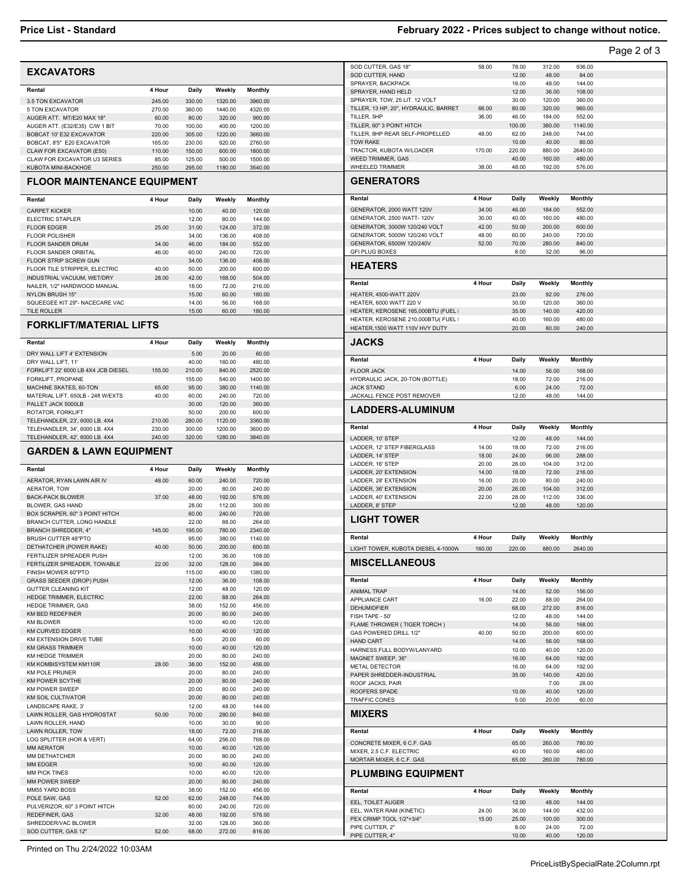## **Price List - Standard February 2022 - Prices subject to change without notice.**

|                                                                  |                            |                  |                    |                                                                |                |                 |                  |                  | Page 2 of 3 |
|------------------------------------------------------------------|----------------------------|------------------|--------------------|----------------------------------------------------------------|----------------|-----------------|------------------|------------------|-------------|
|                                                                  |                            |                  |                    | SOD CUTTER, GAS 18"                                            | 58.00          | 78.00           | 312.00           | 936.00           |             |
| <b>EXCAVATORS</b>                                                |                            |                  |                    | SOD CUTTER, HAND                                               |                | 12.00           | 48.00            | 84.00            |             |
| 4 Hour<br>Rental                                                 | Daily                      | Weekly           | <b>Monthly</b>     | SPRAYER, BACKPACK                                              |                | 16.00           | 48.00            | 144.00           |             |
| 3.5 TON EXCAVATOR<br>245.00                                      |                            | 1320.00          | 3960.00            | SPRAYER, HAND HELD<br>SPRAYER, TOW, 25 LIT. 12 VOLT            |                | 12.00<br>30.00  | 36.00<br>120.00  | 108.00<br>360.00 |             |
| 270.00<br>5 TON EXCAVATOR                                        | 330.00<br>360.00           | 1440.00          | 4320.00            | TILLER, 13 HP, 20", HYDRAULIC, BARRET                          | 66.00          | 80.00           | 320.00           | 960.00           |             |
| AUGER ATT. MT/E20 MAX 18"                                        | 60.00<br>80.00             | 320.00           | 960.00             | TILLER, 5HP                                                    | 36.00          | 46.00           | 184.00           | 552.00           |             |
| AUGER ATT. (E32/E35) C/W 1 BIT                                   | 70.00<br>100.00            | 400.00           | 1200.00            | TILLER, 60" 3 POINT HITCH                                      |                | 100.00          | 380.00           | 1140.00          |             |
| BOBCAT 10' E32 EXCAVATOR                                         | 220.00<br>305.00           | 1220.00          | 3660.00            | TILLER, 8HP REAR SELF-PROPELLED                                | 48.00          | 62.00           | 248.00           | 744.00           |             |
| BOBCAT, 8'5" E20 EXCAVATOR<br>165.00<br>CLAW FOR EXCAVATOR (E50) | 230.00<br>110.00<br>150.00 | 920.00<br>600.00 | 2760.00<br>1800.00 | <b>TOW RAKE</b><br>TRACTOR, KUBOTA W/LOADER                    | 170.00         | 10.00<br>220.00 | 40.00<br>880.00  | 80.00<br>2640.00 |             |
| CLAW FOR EXCAVATOR U3 SERIES                                     | 85.00<br>125.00            | 500.00           | 1500.00            | WEED TRIMMER, GAS                                              |                | 40.00           | 160.00           | 480.00           |             |
| KUBOTA MINI-BACKHOE<br>250.00                                    | 295.00                     | 1180.00          | 3540.00            | WHEELED TRIMMER                                                | 38.00          | 48.00           | 192.00           | 576.00           |             |
| <b>FLOOR MAINTENANCE EQUIPMENT</b>                               |                            |                  |                    | <b>GENERATORS</b>                                              |                |                 |                  |                  |             |
| 4 Hour<br>Rental                                                 | Daily                      | Weekly           | Monthly            | Rental                                                         | 4 Hour         | Daily           | Weekly           | <b>Monthly</b>   |             |
| <b>CARPET KICKER</b>                                             | 10.00                      | 40.00            | 120.00             | GENERATOR, 2000 WATT 120V                                      | 34.00          | 46.00           | 184.00           | 552.00           |             |
| ELECTRIC STAPLER                                                 | 12.00                      | 80.00            | 144.00             | GENERATOR, 2500 WATT- 120V                                     | 30.00          | 40.00           | 160.00           | 480.00           |             |
| <b>FLOOR EDGER</b><br><b>FLOOR POLISHER</b>                      | 25.00<br>31.00<br>34.00    | 124.00<br>136.00 | 372.00<br>408.00   | GENERATOR, 3000W 120/240 VOLT<br>GENERATOR, 5000W 120/240 VOLT | 42.00<br>48.00 | 50.00<br>60.00  | 200.00<br>240.00 | 600.00<br>720.00 |             |
| <b>FLOOR SANDER DRUM</b>                                         | 34.00<br>46.00             | 184.00           | 552.00             | GENERATOR, 6500W 120/240V                                      | 52.00          | 70.00           | 280.00           | 840.00           |             |
| FLOOR SANDER ORBITAL                                             | 46.00<br>60.00             | 240.00           | 720.00             | <b>GFI PLUG BOXES</b>                                          |                | 8.00            | 32.00            | 96.00            |             |
| FLOOR STRIP SCREW GUN                                            | 34.00                      | 136.00           | 408.00             | <b>HEATERS</b>                                                 |                |                 |                  |                  |             |
| FLOOR TILE STRIPPER, ELECTRIC                                    | 40.00<br>50.00             | 200.00           | 600.00             |                                                                |                |                 |                  |                  |             |
| INDUSTRIAL VACUUM, WET/DRY<br>NAILER, 1/2" HARDWOOD MANUAL       | 28.00<br>42.00<br>18.00    | 168.00<br>72.00  | 504.00<br>216.00   | Rental                                                         | 4 Hour         | Daily           | Weekly           | Monthly          |             |
| NYLON BRUSH 15"                                                  | 15.00                      | 60.00            | 180.00             | HEATER, 4500-WATT 220V                                         |                | 23.00           | 92.00            | 276.00           |             |
| SQUEEGEE KIT 29"- NACECARE VAC                                   | 14.00                      | 56.00            | 168.00             | HEATER, 6000 WATT 220 V                                        |                | 30.00           | 120.00           | 360.00           |             |
| TILE ROLLER                                                      | 15.00                      | 60.00            | 180.00             | HEATER, KEROSENE 165,000BTU (FUEL                              |                | 35.00           | 140.00           | 420.00           |             |
| <b>FORKLIFT/MATERIAL LIFTS</b>                                   |                            |                  |                    | HEATER, KEROSENE 210,000BTU( FUEL                              |                | 40.00           | 160.00           | 480.00           |             |
|                                                                  |                            |                  |                    | HEATER, 1500 WATT 110V HVY DUTY                                |                | 20.00           | 80.00            | 240.00           |             |
| Rental<br>4 Hour                                                 | Daily                      | Weekly           | Monthly            | <b>JACKS</b>                                                   |                |                 |                  |                  |             |
| DRY WALL LIFT 4' EXTENSION                                       | 5.00                       | 20.00            | 60.00              |                                                                |                |                 |                  |                  |             |
| DRY WALL LIFT, 11'                                               | 40.00                      | 160.00           | 480.00             | Rental                                                         | 4 Hour         | Daily           | Weekly           | Monthly          |             |
| FORKLIFT 22' 6000 LB 4X4 JCB DIESEL                              | 155.00<br>210.00           | 840.00           | 2520.00            | <b>FLOOR JACK</b>                                              |                | 14.00           | 56.00            | 168.00           |             |
| FORKLIFT, PROPANE<br>MACHINE SKATES, 60-TON                      | 155.00<br>65.00<br>95.00   | 540.00<br>380.00 | 1400.00<br>1140.00 | HYDRAULIC JACK, 20-TON (BOTTLE)<br><b>JACK STAND</b>           |                | 18.00<br>6.00   | 72.00<br>24.00   | 216.00<br>72.00  |             |
| MATERIAL LIFT, 650LB - 24ft W/EXTS                               | 60.00<br>40.00             | 240.00           | 720.00             | JACKALL FENCE POST REMOVER                                     |                | 12.00           | 48.00            | 144.00           |             |
| PALLET JACK 5000LB                                               | 30.00                      | 120.00           | 360.00             |                                                                |                |                 |                  |                  |             |
|                                                                  |                            | 200.00           | 600.00             | <b>LADDERS-ALUMINUM</b>                                        |                |                 |                  |                  |             |
| ROTATOR, FORKLIFT                                                | 50.00                      |                  |                    |                                                                |                |                 |                  |                  |             |
| 210.00<br>TELEHANDLER, 23', 6000 LB. 4X4                         | 280.00                     | 1120.00          | 3360.00            |                                                                |                |                 |                  |                  |             |
| TELEHANDLER, 34', 6000 LB. 4X4<br>230.00                         | 300.00                     | 1200.00          | 3600.00            | Rental                                                         | 4 Hour         | Daily           | Weekly           | <b>Monthly</b>   |             |
| TELEHANDLER, 42', 6000 LB. 4X4<br>240.00                         | 320.00                     | 1280.00          | 3840.00            | LADDER, 10' STEP                                               |                | 12.00           | 48.00            | 144.00           |             |
| <b>GARDEN &amp; LAWN EQUIPMENT</b>                               |                            |                  |                    | LADDER, 12' STEP FIBERGLASS<br>LADDER, 14' STEP                | 14.00<br>18.00 | 18.00<br>24.00  | 72.00<br>96.00   | 216.00<br>288.00 |             |
|                                                                  |                            |                  |                    | LADDER, 16' STEP                                               | 20.00          | 26.00           | 104.00           | 312.00           |             |
| Rental<br>4 Hour                                                 | Daily                      | Weekly           | Monthly            | LADDER, 20' EXTENSION                                          | 14.00          | 18.00           | 72.00            | 216.00           |             |
| AERATOR, RYAN LAWN AIR IV                                        | 48.00<br>60.00             | 240.00           | 720.00             | LADDER, 28' EXTENSION                                          | 16.00          | 20.00           | 80.00            | 240.00           |             |
| AERATOR, TOW<br><b>BACK-PACK BLOWER</b>                          | 20.00<br>37.00<br>48.00    | 80.00<br>192.00  | 240.00<br>576.00   | LADDER, 36' EXTENSION                                          | 20.00<br>22.00 | 26.00<br>28.00  | 104.00           | 312.00           |             |
| BLOWER, GAS HAND                                                 | 28.00                      | 112.00           | 300.00             | LADDER, 40' EXTENSION<br>LADDER, 8' STEP                       |                | 12.00           | 112.00<br>48.00  | 336.00<br>120.00 |             |
| BOX SCRAPER, 60" 3 POINT HITCH                                   | 60.00                      | 240.00           | 720.00             |                                                                |                |                 |                  |                  |             |
| BRANCH CUTTER, LONG HANDLE                                       | 22.00                      | 88.00            | 264.00             | <b>LIGHT TOWER</b>                                             |                |                 |                  |                  |             |
| <b>BRANCH SHREDDER, 4"</b>                                       | 145.00<br>195.00           | 780.00           | 2340.00            | Rental                                                         | 4 Hour         | Daily           | Weekly           | <b>Monthly</b>   |             |
| <b>BRUSH CUTTER 48"PTO</b><br>DETHATCHER (POWER RAKE)            | 95.00<br>40.00<br>50.00    | 380.00<br>200.00 | 1140.00<br>600.00  | LIGHT TOWER, KUBOTA DIESEL 4-1000W                             |                |                 |                  |                  |             |
| FERTILIZER SPREADER PUSH                                         | 12.00                      | 36.00            | 108.00             |                                                                | 160.00         | 220.00          | 880.00           | 2640.00          |             |
| FERTILIZER SPREADER, TOWABLE                                     | 22.00<br>32.00             | 128.00           | 384.00             | <b>MISCELLANEOUS</b>                                           |                |                 |                  |                  |             |
| FINISH MOWER 60"PTO                                              | 115.00                     | 490.00           | 1380.00            |                                                                |                |                 |                  |                  |             |
| GRASS SEEDER (DROP) PUSH<br><b>GUTTER CLEANING KIT</b>           | 12.00<br>12.00             | 36.00<br>48.00   | 108.00<br>120.00   | Rental                                                         | 4 Hour         | Daily           | Weekly           | Monthly          |             |
| HEDGE TRIMMER, ELECTRIC                                          | 22.00                      | 88.00            | 264.00             | <b>ANIMAL TRAP</b><br>APPLIANCE CART                           | 16.00          | 14.00<br>22.00  | 52.00<br>88.00   | 156.00<br>264.00 |             |
| <b>HEDGE TRIMMER, GAS</b>                                        | 38.00                      | 152.00           | 456.00             | <b>DEHUMIDFIER</b>                                             |                | 68.00           | 272.00           | 816.00           |             |
| KM BED REDEFINER                                                 | 20.00                      | 80.00            | 240.00             | FISH TAPE - 50'                                                |                | 12.00           | 48.00            | 144.00           |             |
| <b>KM BLOWER</b>                                                 | 10.00                      | 40.00            | 120.00             | FLAME THROWER (TIGER TORCH)                                    |                | 14.00           | 56.00            | 168.00           |             |
| <b>KM CURVED EDGER</b><br>KM EXTENSION DRIVE TUBE                | 10.00<br>5.00              | 40.00<br>20.00   | 120.00<br>60.00    | GAS POWERED DRILL 1/2"                                         | 40.00          | 50.00           | 200.00           | 600.00           |             |
| <b>KM GRASS TRIMMER</b>                                          | 10.00                      | 40.00            | 120.00             | <b>HAND CART</b><br>HARNESS, FULL BODYW/LANYARD                |                | 14.00<br>10.00  | 56.00<br>40.00   | 168.00<br>120.00 |             |
| KM HEDGE TRIMMER                                                 | 20.00                      | 80.00            | 240.00             | MAGNET SWEEP, 36"                                              |                | 16.00           | 64.00            | 192.00           |             |
| KM KOMBISYSTEM KM110R                                            | 28.00<br>38.00             | 152.00           | 456.00             | METAL DETECTOR                                                 |                | 16.00           | 64.00            | 192.00           |             |
| <b>KM POLE PRUNER</b>                                            | 20.00                      | 80.00            | 240.00             | PAPER SHREDDER-INDUSTRIAL                                      |                | 35.00           | 140.00           | 420.00           |             |
| KM POWER SCYTHE<br><b>KM POWER SWEEP</b>                         | 20.00<br>20.00             | 80.00<br>80.00   | 240.00<br>240.00   | ROOF JACKS, PAIR                                               |                |                 | 7.00             | 28.00            |             |
| <b>KM SOIL CULTIVATOR</b>                                        | 20.00                      | 80.00            | 240.00             | ROOFERS SPADE<br>TRAFFIC CONES                                 |                | 10.00<br>5.00   | 40.00<br>20.00   | 120.00<br>60.00  |             |
| LANDSCAPE RAKE, 3'                                               | 12.00                      | 48.00            | 144.00             |                                                                |                |                 |                  |                  |             |
| LAWN ROLLER, GAS HYDROSTAT                                       | 50.00<br>70.00             | 280.00           | 840.00             | <b>MIXERS</b>                                                  |                |                 |                  |                  |             |
| LAWN ROLLER, HAND<br>LAWN ROLLER, TOW                            | 10.00<br>18.00             | 30.00<br>72.00   | 90.00<br>216.00    | Rental                                                         | 4 Hour         | Daily           | Weekly           |                  |             |
| LOG SPLITTER (HOR & VERT)                                        | 64.00                      | 256.00           | 768.00             |                                                                |                |                 |                  | Monthly          |             |
| MM AERATOR                                                       | 10.00                      | 40.00            | 120.00             | CONCRETE MIXER, 6 C.F. GAS<br>MIXER, 2.5 C.F. ELECTRIC         |                | 65.00<br>40.00  | 260.00<br>160.00 | 780.00           |             |
| MM DETHATCHER                                                    | 20.00                      | 80.00            | 240.00             | MORTAR MIXER, 6 C.F. GAS                                       |                | 65.00           | 260.00           | 480.00<br>780.00 |             |
| MM EDGER                                                         | 10.00                      | 40.00            | 120.00             |                                                                |                |                 |                  |                  |             |
| MM PICK TINES<br>MM POWER SWEEP                                  | 10.00<br>20.00             | 40.00<br>80.00   | 120.00<br>240.00   | <b>PLUMBING EQUIPMENT</b>                                      |                |                 |                  |                  |             |
| MM55 YARD BOSS                                                   | 38.00                      | 152.00           | 456.00             | Rental                                                         | 4 Hour         | Daily           | Weekly           | <b>Monthly</b>   |             |
| POLE SAW, GAS                                                    | 52.00<br>62.00             | 248.00           | 744.00             | EEL, TOILET AUGER                                              |                | 12.00           | 48.00            | 144.00           |             |
| PULVERIZOR, 60" 3 POINT HITCH                                    | 60.00                      | 240.00           | 720.00             | EEL, WATER RAM (KINETIC)                                       | 24.00          | 36.00           | 144.00           | 432.00           |             |
| REDEFINER, GAS<br>SHREDDER/VAC BLOWER                            | 32.00<br>48.00<br>32.00    | 192.00<br>128.00 | 576.00<br>360.00   | PEX CRIMP TOOL 1/2"+3/4"<br>PIPE CUTTER, 2"                    | 15.00          | 25.00<br>8.00   | 100.00<br>24.00  | 300.00<br>72.00  |             |

Printed on Thu 2/24/2022 10:03AM